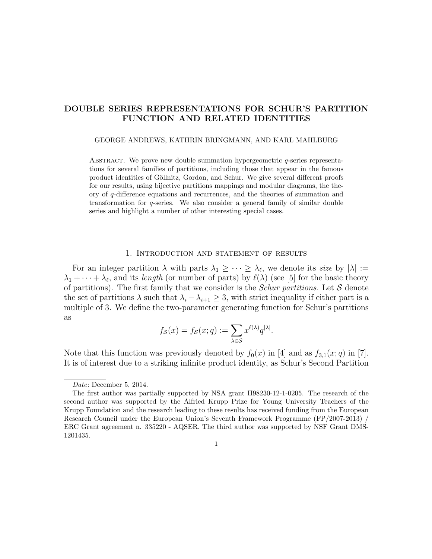# DOUBLE SERIES REPRESENTATIONS FOR SCHUR'S PARTITION FUNCTION AND RELATED IDENTITIES

## GEORGE ANDREWS, KATHRIN BRINGMANN, AND KARL MAHLBURG

ABSTRACT. We prove new double summation hypergeometric  $q$ -series representations for several families of partitions, including those that appear in the famous product identities of Göllnitz, Gordon, and Schur. We give several different proofs for our results, using bijective partitions mappings and modular diagrams, the theory of q-difference equations and recurrences, and the theories of summation and transformation for q-series. We also consider a general family of similar double series and highlight a number of other interesting special cases.

## 1. Introduction and statement of results

For an integer partition  $\lambda$  with parts  $\lambda_1 \geq \cdots \geq \lambda_{\ell}$ , we denote its size by  $|\lambda| :=$  $\lambda_1 + \cdots + \lambda_\ell$ , and its length (or number of parts) by  $\ell(\lambda)$  (see [5] for the basic theory of partitions). The first family that we consider is the *Schur partitions*. Let  $S$  denote the set of partitions  $\lambda$  such that  $\lambda_i - \lambda_{i+1} \geq 3$ , with strict inequality if either part is a multiple of 3. We define the two-parameter generating function for Schur's partitions as

$$
f_{\mathcal{S}}(x) = f_{\mathcal{S}}(x; q) := \sum_{\lambda \in \mathcal{S}} x^{\ell(\lambda)} q^{|\lambda|}.
$$

Note that this function was previously denoted by  $f_0(x)$  in [4] and as  $f_{3,1}(x;q)$  in [7]. It is of interest due to a striking infinite product identity, as Schur's Second Partition

1

Date: December 5, 2014.

The first author was partially supported by NSA grant H98230-12-1-0205. The research of the second author was supported by the Alfried Krupp Prize for Young University Teachers of the Krupp Foundation and the research leading to these results has received funding from the European Research Council under the European Union's Seventh Framework Programme (FP/2007-2013) / ERC Grant agreement n. 335220 - AQSER. The third author was supported by NSF Grant DMS-1201435.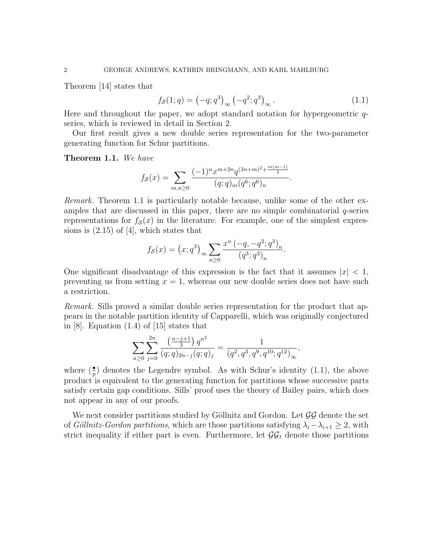Theorem [14] states that

$$
f_{\mathcal{S}}(1;q) = (-q;q^3)_{\infty} (-q^2;q^3)_{\infty}.
$$
 (1.1)

Here and throughout the paper, we adopt standard notation for hypergeometric qseries, which is reviewed in detail in Section 2.

Our first result gives a new double series representation for the two-parameter generating function for Schur partitions.

Theorem 1.1. We have

$$
f_{\mathcal{S}}(x) = \sum_{m,n \geq 0} \frac{(-1)^n x^{m+2n} q^{(3n+m)^2 + \frac{m(m-1)}{2}}}{(q;q)_m (q^6;q^6)_n}.
$$

Remark. Theorem 1.1 is particularly notable because, unlike some of the other examples that are discussed in this paper, there are no simple combinatorial  $q$ -series representations for  $f_{\mathcal{S}}(x)$  in the literature. For example, one of the simplest expressions is  $(2.15)$  of [4], which states that

$$
f_{\mathcal{S}}(x) = (x; q^3)_{\infty} \sum_{n \geq 0} \frac{x^n (-q, -q^2; q^3)_n}{(q^3; q^3)_n}.
$$

One significant disadvantage of this expression is the fact that it assumes  $|x| < 1$ , preventing us from setting  $x = 1$ , whereas our new double series does not have such a restriction.

Remark. Sills proved a similar double series representation for the product that appears in the notable partition identity of Capparelli, which was originally conjectured in [8]. Equation (1.4) of [15] states that

$$
\sum_{n\geq 0}\sum_{j=0}^{2n}\frac{\left(\frac{n-j+1}{3}\right)q^{n^2}}{(q;q)_{2n-j}(q;q)_j}=\frac{1}{(q^2,q^3,q^9,q^{10};q^{12})_{\infty}},
$$

where  $(\frac{\bullet}{p})$  denotes the Legendre symbol. As with Schur's identity (1.1), the above product is equivalent to the generating function for partitions whose successive parts satisfy certain gap conditions. Sills' proof uses the theory of Bailey pairs, which does not appear in any of our proofs.

We next consider partitions studied by Göllnitz and Gordon. Let  $\mathcal{G}\mathcal{G}$  denote the set of Göllnitz-Gordon partitions, which are those partitions satisfying  $\lambda_i - \lambda_{i+1} \geq 2$ , with strict inequality if either part is even. Furthermore, let  $\mathcal{G}\mathcal{G}_t$  denote those partitions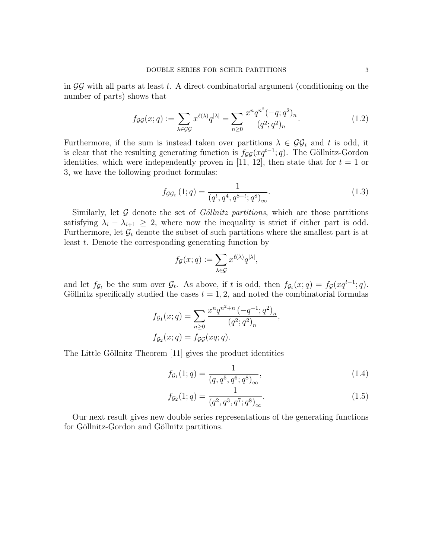in  $\mathcal{G}\mathcal{G}$  with all parts at least t. A direct combinatorial argument (conditioning on the number of parts) shows that

$$
f_{\mathcal{G}\mathcal{G}}(x;q) := \sum_{\lambda \in \mathcal{G}\mathcal{G}} x^{\ell(\lambda)} q^{|\lambda|} = \sum_{n \ge 0} \frac{x^n q^{n^2} (-q;q^2)_n}{(q^2;q^2)_n}.
$$
 (1.2)

Furthermore, if the sum is instead taken over partitions  $\lambda \in \mathcal{GG}_t$  and t is odd, it is clear that the resulting generating function is  $f_{\mathcal{G}\mathcal{G}}(xq^{t-1};q)$ . The Göllnitz-Gordon identities, which were independently proven in [11, 12], then state that for  $t = 1$  or 3, we have the following product formulas:

$$
f_{\mathcal{G}\mathcal{G}_t}(1;q) = \frac{1}{(q^t, q^4, q^{8-t}; q^8)_{\infty}}.
$$
\n(1.3)

Similarly, let  $G$  denote the set of *Göllnitz partitions*, which are those partitions satisfying  $\lambda_i - \lambda_{i+1} \geq 2$ , where now the inequality is strict if either part is odd. Furthermore, let  $\mathcal{G}_t$  denote the subset of such partitions where the smallest part is at least t. Denote the corresponding generating function by

$$
f_{\mathcal{G}}(x;q) := \sum_{\lambda \in \mathcal{G}} x^{\ell(\lambda)} q^{|\lambda|},
$$

and let  $f_{\mathcal{G}_t}$  be the sum over  $\mathcal{G}_t$ . As above, if t is odd, then  $f_{\mathcal{G}_t}(x;q) = f_{\mathcal{G}}(xq^{t-1};q)$ . Göllnitz specifically studied the cases  $t = 1, 2$ , and noted the combinatorial formulas

$$
f_{\mathcal{G}_1}(x;q) = \sum_{n\geq 0} \frac{x^n q^{n^2+n} (-q^{-1}; q^2)_n}{(q^2; q^2)_n},
$$
  

$$
f_{\mathcal{G}_2}(x;q) = f_{\mathcal{G}\mathcal{G}}(xq;q).
$$

The Little Göllnitz Theorem [11] gives the product identities

$$
f_{\mathcal{G}_1}(1;q) = \frac{1}{(q, q^5, q^6; q^8)_{\infty}},
$$
\n(1.4)

$$
f_{\mathcal{G}_2}(1;q) = \frac{1}{(q^2, q^3, q^7; q^8)_{\infty}}.
$$
\n(1.5)

Our next result gives new double series representations of the generating functions for Göllnitz-Gordon and Göllnitz partitions.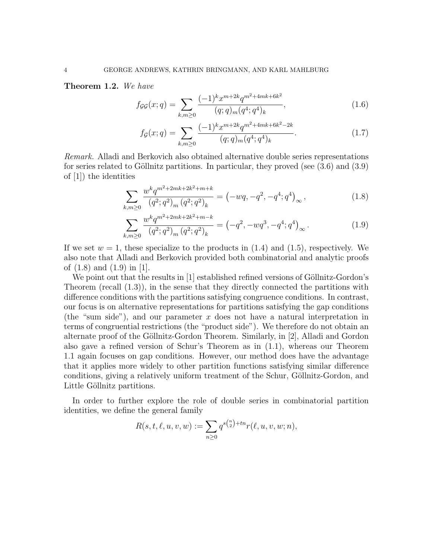Theorem 1.2. We have

$$
f_{\mathcal{G}\mathcal{G}}(x;q) = \sum_{k,m \ge 0} \frac{(-1)^k x^{m+2k} q^{m^2+4mk+6k^2}}{(q;q)_m (q^4;q^4)_k},\tag{1.6}
$$

$$
f_{\mathcal{G}}(x;q) = \sum_{k,m \ge 0} \frac{(-1)^k x^{m+2k} q^{m^2+4mk+6k^2-2k}}{(q;q)_m (q^4;q^4)_k}.
$$
 (1.7)

Remark. Alladi and Berkovich also obtained alternative double series representations for series related to Göllnitz partitions. In particular, they proved (see  $(3.6)$  and  $(3.9)$ ) of [1]) the identities

$$
\sum_{k,m\geq 0} \frac{w^k q^{m^2+2mk+2k^2+m+k}}{(q^2;q^2)_m (q^2;q^2)_k} = \left(-wq,-q^2,-q^4;q^4\right)_{\infty},\tag{1.8}
$$

$$
\sum_{k,m\geq 0} \frac{w^k q^{m^2+2mk+2k^2+m-k}}{(q^2;q^2)_m (q^2;q^2)_k} = \left(-q^2, -w q^3, -q^4; q^4\right)_{\infty}.
$$
\n(1.9)

If we set  $w = 1$ , these specialize to the products in  $(1.4)$  and  $(1.5)$ , respectively. We also note that Alladi and Berkovich provided both combinatorial and analytic proofs of (1.8) and (1.9) in [1].

We point out that the results in  $[1]$  established refined versions of Göllnitz-Gordon's Theorem (recall (1.3)), in the sense that they directly connected the partitions with difference conditions with the partitions satisfying congruence conditions. In contrast, our focus is on alternative representations for partitions satisfying the gap conditions (the "sum side"), and our parameter x does not have a natural interpretation in terms of congruential restrictions (the "product side"). We therefore do not obtain an alternate proof of the Göllnitz-Gordon Theorem. Similarly, in [2], Alladi and Gordon also gave a refined version of Schur's Theorem as in (1.1), whereas our Theorem 1.1 again focuses on gap conditions. However, our method does have the advantage that it applies more widely to other partition functions satisfying similar difference conditions, giving a relatively uniform treatment of the Schur, Göllnitz-Gordon, and Little Göllnitz partitions.

In order to further explore the role of double series in combinatorial partition identities, we define the general family

$$
R(s, t, \ell, u, v, w) := \sum_{n \ge 0} q^{s {n \choose 2} + tn} r(\ell, u, v, w; n),
$$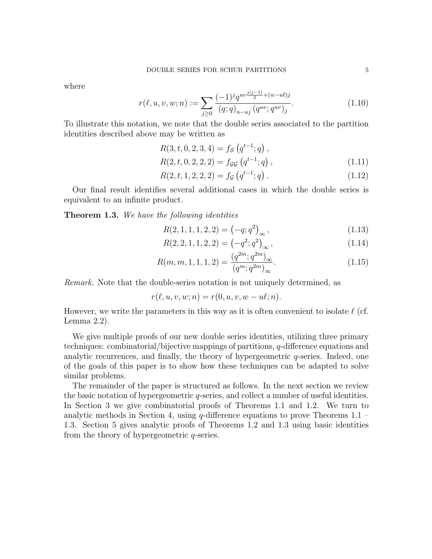where

$$
r(\ell, u, v, w; n) := \sum_{j \ge 0} \frac{(-1)^j q^{uv \frac{j(j-1)}{2} + (w - u\ell)j}}{(q; q)_{n-uj} (q^{uv}; q^{uv})_j}.
$$
\n(1.10)

To illustrate this notation, we note that the double series associated to the partition identities described above may be written as

$$
R(3, t, 0, 2, 3, 4) = f_{\mathcal{S}}(q^{t-1}; q),
$$
  
\n
$$
R(2, t, 0, 2, 2, 2) = f_{\mathcal{G}\mathcal{G}}(q^{t-1}; q),
$$
\n(1.11)

$$
R(2, t, 1, 2, 2, 2) = f_{\mathcal{G}}(q^{t-1}; q).
$$
\n(1.12)

Our final result identifies several additional cases in which the double series is equivalent to an infinite product.

**Theorem 1.3.** We have the following identities

$$
R(2, 1, 1, 1, 2, 2) = \left(-q; q^2\right)_{\infty},\tag{1.13}
$$

$$
R(2, 2, 1, 1, 2, 2) = \left(-q^2; q^2\right)_{\infty},\tag{1.14}
$$

$$
R(m, m, 1, 1, 1, 2) = \frac{(q^{2m}; q^{2m})_{\infty}}{(q^m; q^{2m})_{\infty}}.
$$
\n(1.15)

Remark. Note that the double-series notation is not uniquely determined, as

$$
r(\ell, u, v, w; n) = r(0, u, v, w - u\ell; n).
$$

However, we write the parameters in this way as it is often convenient to isolate  $\ell$  (cf. Lemma 2.2).

We give multiple proofs of our new double series identities, utilizing three primary techniques: combinatorial/bijective mappings of partitions, q-difference equations and analytic recurrences, and finally, the theory of hypergeometric q-series. Indeed, one of the goals of this paper is to show how these techniques can be adapted to solve similar problems.

The remainder of the paper is structured as follows. In the next section we review the basic notation of hypergeometric q-series, and collect a number of useful identities. In Section 3 we give combinatorial proofs of Theorems 1.1 and 1.2. We turn to analytic methods in Section 4, using  $q$ -difference equations to prove Theorems 1.1 – 1.3. Section 5 gives analytic proofs of Theorems 1.2 and 1.3 using basic identities from the theory of hypergeometric q-series.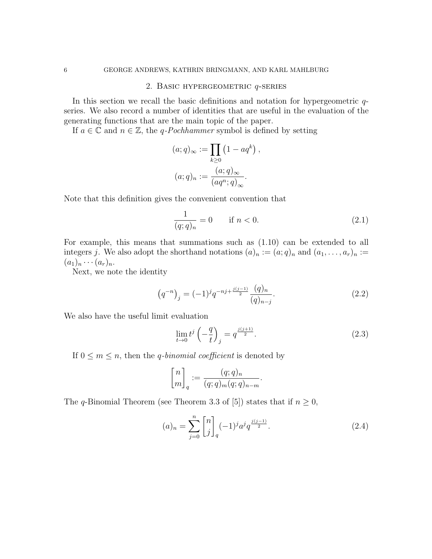## 2. Basic hypergeometric q-series

In this section we recall the basic definitions and notation for hypergeometric  $q$ series. We also record a number of identities that are useful in the evaluation of the generating functions that are the main topic of the paper.

If  $a \in \mathbb{C}$  and  $n \in \mathbb{Z}$ , the q-Pochhammer symbol is defined by setting

$$
(a;q)_{\infty} := \prod_{k\geq 0} (1 - aq^k),
$$

$$
(a;q)_n := \frac{(a;q)_{\infty}}{(aq^n;q)_{\infty}}.
$$

Note that this definition gives the convenient convention that

$$
\frac{1}{(q;q)_n} = 0 \quad \text{if } n < 0. \tag{2.1}
$$

For example, this means that summations such as (1.10) can be extended to all integers j. We also adopt the shorthand notations  $(a)_n := (a;q)_n$  and  $(a_1, \ldots, a_r)_n :=$  $(a_1)_n \cdots (a_r)_n.$ 

Next, we note the identity

$$
\left(q^{-n}\right)_j = (-1)^j q^{-nj + \frac{j(j-1)}{2}} \frac{(q)_n}{(q)_{n-j}}.\tag{2.2}
$$

We also have the useful limit evaluation

$$
\lim_{t \to 0} t^j \left( -\frac{q}{t} \right)_j = q^{\frac{j(j+1)}{2}}.\tag{2.3}
$$

If  $0 \leq m \leq n$ , then the *q*-binomial coefficient is denoted by

$$
\begin{bmatrix} n \\ m \end{bmatrix}_q := \frac{(q;q)_n}{(q;q)_m (q;q)_{n-m}}.
$$

The q-Binomial Theorem (see Theorem 3.3 of [5]) states that if  $n \geq 0$ ,

$$
(a)_n = \sum_{j=0}^n \begin{bmatrix} n \\ j \end{bmatrix}_q (-1)^j a^j q^{\frac{j(j-1)}{2}}.
$$
 (2.4)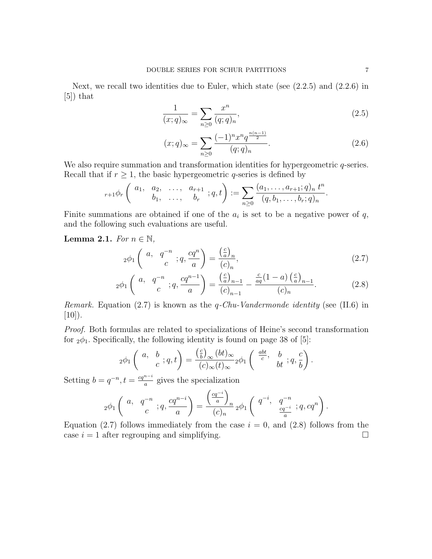Next, we recall two identities due to Euler, which state (see  $(2.2.5)$  and  $(2.2.6)$  in [5]) that

$$
\frac{1}{(x;q)_{\infty}} = \sum_{n\geq 0} \frac{x^n}{(q;q)_n},\tag{2.5}
$$

$$
(x;q)_{\infty} = \sum_{n\geq 0} \frac{(-1)^n x^n q^{\frac{n(n-1)}{2}}}{(q;q)_n}.
$$
\n(2.6)

We also require summation and transformation identities for hypergeometric  $q$ -series. Recall that if  $r \geq 1$ , the basic hypergeometric q-series is defined by

$$
{}_{r+1}\phi_r\left(\begin{array}{cccc}a_1, & a_2, & \ldots, & a_{r+1} \\ & b_1, & \ldots, & b_r\end{array};q,t\right):=\sum_{n\geq 0}\frac{(a_1,\ldots,a_{r+1};q)_n t^n}{(q,b_1,\ldots,b_r;q)_n}.
$$

Finite summations are obtained if one of the  $a_i$  is set to be a negative power of  $q$ , and the following such evaluations are useful.

**Lemma 2.1.** For  $n \in \mathbb{N}$ ,

$$
{}_2\phi_1\left(\begin{array}{cc}a, & q^{-n} \\ c & \end{array}; q, \frac{cq^n}{a}\right) = \frac{\left(\frac{c}{a}\right)_n}{(c)_n},\tag{2.7}
$$

$$
{}_2\phi_1\left(\begin{array}{cc}a, & q^{-n} \\ & c\end{array};q,\frac{cq^{n-1}}{a}\right) = \frac{\left(\frac{c}{a}\right)_{n-1}}{(c)_{n-1}} - \frac{\frac{c}{aq}(1-a)\left(\frac{c}{a}\right)_{n-1}}{(c)_n}.
$$
 (2.8)

*Remark.* Equation (2.7) is known as the  $q$ -Chu-Vandermonde identity (see (II.6) in  $[10]$ ).

Proof. Both formulas are related to specializations of Heine's second transformation for  $_2\phi_1$ . Specifically, the following identity is found on page 38 of [5]:

$$
{}_2\phi_1\left(\begin{array}{cc}a,&b\\&c\end{array};q,t\right)=\frac{\left(\frac{c}{b}\right)_\infty(bt)_\infty}{(c)_\infty(t)_\infty}{}_2\phi_1\left(\begin{array}{cc}\frac{abt}{c},&b\\&b\end{array};q,\frac{c}{b}\right).
$$

Setting  $b = q^{-n}, t = \frac{cq^{n-i}}{q}$  $\frac{a}{a}$  gives the specialization

$$
{}_2\phi_1\left(\begin{array}{cc}a,&q^{-n}\\&c\end{array};q,\frac{cq^{n-i}}{a}\right)=\frac{\left(\frac{cq^{-i}}{a}\right)_n}{(c)_n}{}_2\phi_1\left(\begin{array}{cc}q^{-i},&q^{-n}\\&\frac{cq^{-i}}{a}\end{array};q,cq^n\right).
$$

Equation (2.7) follows immediately from the case  $i = 0$ , and (2.8) follows from the case  $i = 1$  after regrouping and simplifying.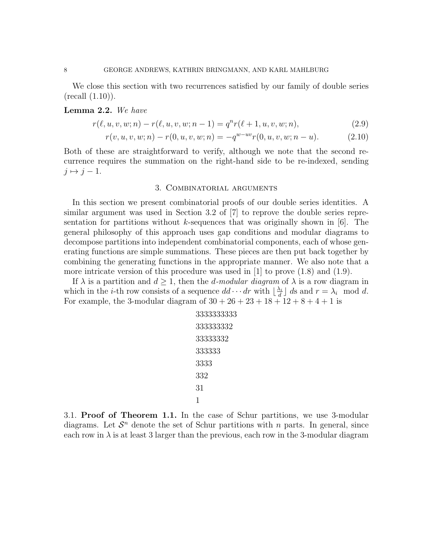We close this section with two recurrences satisfied by our family of double series (recall (1.10)).

#### Lemma 2.2. We have

$$
r(\ell, u, v, w; n) - r(\ell, u, v, w; n - 1) = q^n r(\ell + 1, u, v, w; n),
$$
\n(2.9)

$$
r(v, u, v, w; n) - r(0, u, v, w; n) = -q^{w - uv} r(0, u, v, w; n - u).
$$
 (2.10)

Both of these are straightforward to verify, although we note that the second recurrence requires the summation on the right-hand side to be re-indexed, sending  $j \mapsto j - 1$ .

## 3. Combinatorial arguments

In this section we present combinatorial proofs of our double series identities. A similar argument was used in Section 3.2 of [7] to reprove the double series representation for partitions without k-sequences that was originally shown in  $[6]$ . The general philosophy of this approach uses gap conditions and modular diagrams to decompose partitions into independent combinatorial components, each of whose generating functions are simple summations. These pieces are then put back together by combining the generating functions in the appropriate manner. We also note that a more intricate version of this procedure was used in  $[1]$  to prove  $(1.8)$  and  $(1.9)$ .

If  $\lambda$  is a partition and  $d \geq 1$ , then the *d-modular diagram* of  $\lambda$  is a row diagram in which in the *i*-th row consists of a sequence  $dd \cdot \cdot dr$  with  $\frac{\lambda_i}{d}$  $\frac{\lambda_i}{d}$  ds and  $r = \lambda_i \mod d$ . For example, the 3-modular diagram of  $30 + 26 + 23 + 18 + 12 + 8 + 4 + 1$  is

$$
\begin{array}{l} 33333333333\\ 333333332\\ 33333332\\ 333333\\ 3333\\ 332\\ 31\\ 1\end{array}
$$

3.1. Proof of Theorem 1.1. In the case of Schur partitions, we use 3-modular diagrams. Let  $\mathcal{S}^n$  denote the set of Schur partitions with n parts. In general, since each row in  $\lambda$  is at least 3 larger than the previous, each row in the 3-modular diagram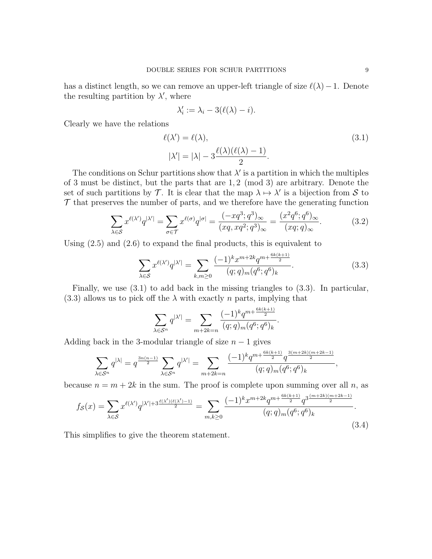has a distinct length, so we can remove an upper-left triangle of size  $\ell(\lambda)-1$ . Denote the resulting partition by  $\lambda'$ , where

$$
\lambda_i' := \lambda_i - 3(\ell(\lambda) - i).
$$

Clearly we have the relations

$$
\ell(\lambda') = \ell(\lambda),
$$
  
\n
$$
|\lambda'| = |\lambda| - 3 \frac{\ell(\lambda)(\ell(\lambda) - 1)}{2}.
$$
\n(3.1)

The conditions on Schur partitions show that  $\lambda'$  is a partition in which the multiples of 3 must be distinct, but the parts that are 1, 2 (mod 3) are arbitrary. Denote the set of such partitions by T. It is clear that the map  $\lambda \mapsto \lambda'$  is a bijection from S to  $\mathcal T$  that preserves the number of parts, and we therefore have the generating function

$$
\sum_{\lambda \in \mathcal{S}} x^{\ell(\lambda')} q^{|\lambda'|} = \sum_{\sigma \in \mathcal{T}} x^{\ell(\sigma)} q^{|\sigma|} = \frac{(-xq^3; q^3)_{\infty}}{(xq, xq^2; q^3)_{\infty}} = \frac{(x^2q^6; q^6)_{\infty}}{(xq; q)_{\infty}}.
$$
(3.2)

Using (2.5) and (2.6) to expand the final products, this is equivalent to

$$
\sum_{\lambda \in S} x^{\ell(\lambda')} q^{|\lambda'|} = \sum_{k,m \ge 0} \frac{(-1)^k x^{m+2k} q^{m+\frac{6k(k+1)}{2}}}{(q;q)_m (q^6;q^6)_k}.
$$
 (3.3)

Finally, we use (3.1) to add back in the missing triangles to (3.3). In particular,  $(3.3)$  allows us to pick off the  $\lambda$  with exactly *n* parts, implying that

$$
\sum_{\lambda \in S^n} q^{|\lambda'|} = \sum_{m+2k=n} \frac{(-1)^k q^{m+\frac{6k(k+1)}{2}}}{(q;q)_m (q^6;q^6)_k}.
$$

Adding back in the 3-modular triangle of size  $n-1$  gives

$$
\sum_{\lambda \in S^n} q^{|\lambda|} = q^{\frac{3n(n-1)}{2}} \sum_{\lambda \in S^n} q^{|\lambda'|} = \sum_{m+2k=n} \frac{(-1)^k q^{m+\frac{6k(k+1)}{2}} q^{\frac{3(m+2k)(m+2k-1)}{2}}}{(q;q)_m (q^6;q^6)_k},
$$

because  $n = m + 2k$  in the sum. The proof is complete upon summing over all n, as

$$
f_{\mathcal{S}}(x) = \sum_{\lambda \in \mathcal{S}} x^{\ell(\lambda')} q^{|\lambda'| + 3 \frac{\ell(\lambda')(\ell(\lambda') - 1)}{2}} = \sum_{m,k \ge 0} \frac{(-1)^k x^{m+2k} q^{m + \frac{6k(k+1)}{2}} q^{3 \frac{(m+2k)(m+2k-1)}{2}}}{(q;q)_m (q^6;q^6)_k}.
$$
\n(3.4)

This simplifies to give the theorem statement.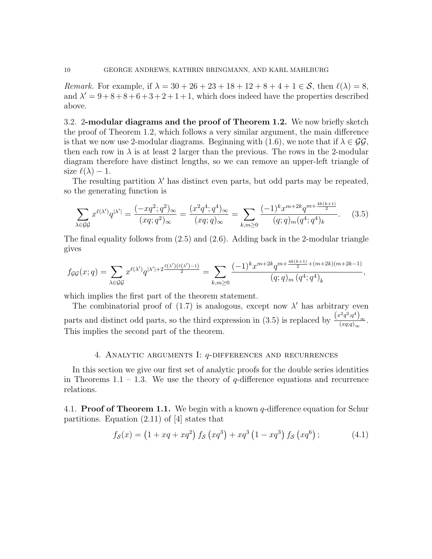*Remark.* For example, if  $\lambda = 30 + 26 + 23 + 18 + 12 + 8 + 4 + 1 \in \mathcal{S}$ , then  $\ell(\lambda) = 8$ , and  $\lambda' = 9 + 8 + 8 + 6 + 3 + 2 + 1 + 1$ , which does indeed have the properties described above.

3.2. 2-modular diagrams and the proof of Theorem 1.2. We now briefly sketch the proof of Theorem 1.2, which follows a very similar argument, the main difference is that we now use 2-modular diagrams. Beginning with (1.6), we note that if  $\lambda \in \mathcal{GG}$ , then each row in  $\lambda$  is at least 2 larger than the previous. The rows in the 2-modular diagram therefore have distinct lengths, so we can remove an upper-left triangle of size  $\ell(\lambda) - 1$ .

The resulting partition  $\lambda'$  has distinct even parts, but odd parts may be repeated, so the generating function is

$$
\sum_{\lambda \in \mathcal{G}\mathcal{G}} x^{\ell(\lambda')} q^{|\lambda'|} = \frac{(-xq^2; q^2)_{\infty}}{(xq; q^2)_{\infty}} = \frac{(x^2q^4; q^4)_{\infty}}{(xq; q)_{\infty}} = \sum_{k,m \ge 0} \frac{(-1)^k x^{m+2k} q^{m+\frac{4k(k+1)}{2}}}{(q; q)_m (q^4; q^4)_k}.
$$
 (3.5)

The final equality follows from (2.5) and (2.6). Adding back in the 2-modular triangle gives

$$
f_{\mathcal{G}\mathcal{G}}(x;q) = \sum_{\lambda \in \mathcal{G}\mathcal{G}} x^{\ell(\lambda')} q^{|\lambda'| + 2\frac{\ell(\lambda')(\ell(\lambda')-1)}{2}} = \sum_{k,m \ge 0} \frac{(-1)^k x^{m+2k} q^{m+\frac{4k(k+1)}{2} + (m+2k)(m+2k-1)}}{(q;q)_m (q^4;q^4)_k},
$$

which implies the first part of the theorem statement.

The combinatorial proof of  $(1.7)$  is analogous, except now  $\lambda'$  has arbitrary even parts and distinct odd parts, so the third expression in (3.5) is replaced by  $\frac{(x^2q^2;q^4)_{\infty}}{(xxq)}$  $\frac{(xq;q)_{\infty}}{(xq;q)_{\infty}}$ . This implies the second part of the theorem.

## 4. Analytic arguments I: q-differences and recurrences

In this section we give our first set of analytic proofs for the double series identities in Theorems 1.1 – 1.3. We use the theory of  $q$ -difference equations and recurrence relations.

4.1. **Proof of Theorem 1.1.** We begin with a known  $q$ -difference equation for Schur partitions. Equation (2.11) of [4] states that

$$
f_{\mathcal{S}}(x) = (1 + xq + xq^{2}) f_{\mathcal{S}}(xq^{3}) + xq^{3} (1 - xq^{3}) f_{\mathcal{S}}(xq^{6}); \qquad (4.1)
$$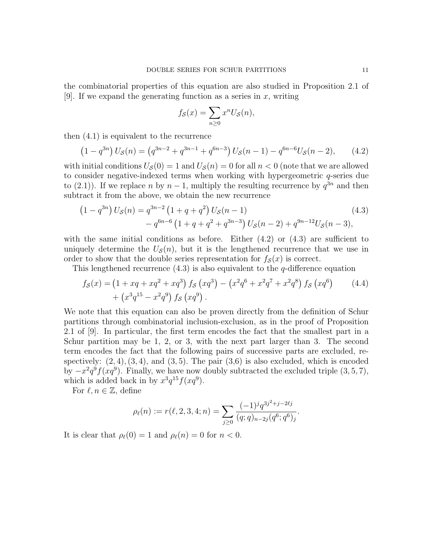the combinatorial properties of this equation are also studied in Proposition 2.1 of [9]. If we expand the generating function as a series in  $x$ , writing

$$
f_{\mathcal{S}}(x) = \sum_{n \ge 0} x^n U_{\mathcal{S}}(n),
$$

then (4.1) is equivalent to the recurrence

$$
(1 - q^{3n}) U_S(n) = (q^{3n-2} + q^{3n-1} + q^{6n-3}) U_S(n-1) - q^{6n-6} U_S(n-2), \qquad (4.2)
$$

with initial conditions  $U_{\mathcal{S}}(0) = 1$  and  $U_{\mathcal{S}}(n) = 0$  for all  $n < 0$  (note that we are allowed to consider negative-indexed terms when working with hypergeometric q-series due to (2.1)). If we replace n by  $n-1$ , multiply the resulting recurrence by  $q^{3n}$  and then subtract it from the above, we obtain the new recurrence

$$
(1 - q^{3n}) US(n) = q^{3n-2} (1 + q + q^2) US(n - 1)
$$
\n
$$
- q^{6n-6} (1 + q + q^2 + q^{3n-3}) US(n - 2) + q^{9n-12} US(n - 3),
$$
\n(4.3)

with the same initial conditions as before. Either  $(4.2)$  or  $(4.3)$  are sufficient to uniquely determine the  $U_{\mathcal{S}}(n)$ , but it is the lengthened recurrence that we use in order to show that the double series representation for  $f_{\mathcal{S}}(x)$  is correct.

This lengthened recurrence  $(4.3)$  is also equivalent to the *q*-difference equation

$$
f_S(x) = (1 + xq + xq^2 + xq^3) f_S (xq^3) - (x^2q^6 + x^2q^7 + x^2q^8) f_S (xq^6)
$$
  
+ 
$$
(x^3q^{15} - x^2q^9) f_S (xq^9).
$$
 (4.4)

We note that this equation can also be proven directly from the definition of Schur partitions through combinatorial inclusion-exclusion, as in the proof of Proposition 2.1 of [9]. In particular, the first term encodes the fact that the smallest part in a Schur partition may be 1, 2, or 3, with the next part larger than 3. The second term encodes the fact that the following pairs of successive parts are excluded, respectively:  $(2, 4)$ ,  $(3, 4)$ , and  $(3, 5)$ . The pair  $(3, 6)$  is also excluded, which is encoded by  $-x^2q^9f(xq^9)$ . Finally, we have now doubly subtracted the excluded triple  $(3, 5, 7)$ , which is added back in by  $x^3 q^{15} f(xq^9)$ .

For  $\ell, n \in \mathbb{Z}$ , define

$$
\rho_{\ell}(n) := r(\ell, 2, 3, 4; n) = \sum_{j \geq 0} \frac{(-1)^j q^{3j^2 + j - 2\ell j}}{(q; q)_{n-2j} (q^6; q^6)_j}.
$$

It is clear that  $\rho_{\ell}(0) = 1$  and  $\rho_{\ell}(n) = 0$  for  $n < 0$ .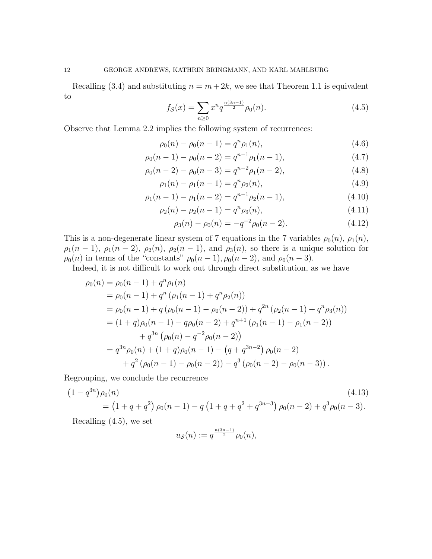Recalling (3.4) and substituting  $n = m + 2k$ , we see that Theorem 1.1 is equivalent to

$$
f_{\mathcal{S}}(x) = \sum_{n\geq 0} x^n q^{\frac{n(3n-1)}{2}} \rho_0(n). \tag{4.5}
$$

Observe that Lemma 2.2 implies the following system of recurrences:

$$
\rho_0(n) - \rho_0(n-1) = q^n \rho_1(n), \qquad (4.6)
$$

$$
\rho_0(n-1) - \rho_0(n-2) = q^{n-1}\rho_1(n-1),\tag{4.7}
$$

$$
\rho_0(n-2) - \rho_0(n-3) = q^{n-2}\rho_1(n-2),\tag{4.8}
$$

$$
\rho_1(n) - \rho_1(n-1) = q^n \rho_2(n), \qquad (4.9)
$$

$$
\rho_1(n-1) - \rho_1(n-2) = q^{n-1}\rho_2(n-1),\tag{4.10}
$$

$$
\rho_2(n) - \rho_2(n-1) = q^n \rho_3(n), \qquad (4.11)
$$

$$
\rho_3(n) - \rho_0(n) = -q^{-2}\rho_0(n-2). \tag{4.12}
$$

This is a non-degenerate linear system of 7 equations in the 7 variables  $\rho_0(n)$ ,  $\rho_1(n)$ ,  $\rho_1(n-1)$ ,  $\rho_1(n-2)$ ,  $\rho_2(n)$ ,  $\rho_2(n-1)$ , and  $\rho_3(n)$ , so there is a unique solution for  $\rho_0(n)$  in terms of the "constants"  $\rho_0(n-1)$ ,  $\rho_0(n-2)$ , and  $\rho_0(n-3)$ .

Indeed, it is not difficult to work out through direct substitution, as we have

$$
\rho_0(n) = \rho_0(n-1) + q^n \rho_1(n)
$$
  
=  $\rho_0(n-1) + q^n (\rho_1(n-1) + q^n \rho_2(n))$   
=  $\rho_0(n-1) + q (\rho_0(n-1) - \rho_0(n-2)) + q^{2n} (\rho_2(n-1) + q^n \rho_3(n))$   
=  $(1+q)\rho_0(n-1) - q\rho_0(n-2) + q^{n+1} (\rho_1(n-1) - \rho_1(n-2))$   
+  $q^{3n} (\rho_0(n) - q^{-2} \rho_0(n-2))$   
=  $q^{3n} \rho_0(n) + (1+q)\rho_0(n-1) - (q+q^{3n-2}) \rho_0(n-2)$   
+  $q^2 (\rho_0(n-1) - \rho_0(n-2)) - q^3 (\rho_0(n-2) - \rho_0(n-3)).$ 

Regrouping, we conclude the recurrence

$$
(1 - q^{3n})\rho_0(n)
$$
\n
$$
= (1 + q + q^2)\rho_0(n - 1) - q(1 + q + q^2 + q^{3n-3})\rho_0(n - 2) + q^3\rho_0(n - 3).
$$
\n(4.13)

Recalling (4.5), we set

$$
u_{\mathcal{S}}(n):=q^{\frac{n(3n-1)}{2}}\rho_0(n),
$$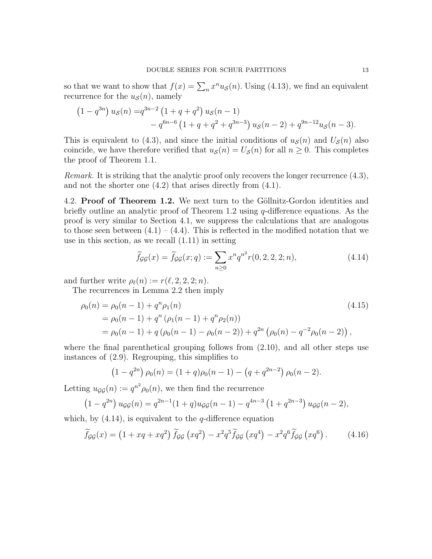so that we want to show that  $f(x) = \sum_{n} x^{n} u_{\mathcal{S}}(n)$ . Using (4.13), we find an equivalent recurrence for the  $u<sub>S</sub>(n)$ , namely

$$
(1 - q^{3n}) uS(n) = q^{3n-2} (1 + q + q^2) uS(n - 1)
$$
  
- q<sup>6n-6</sup> (1 + q + q<sup>2</sup> + q<sup>3n-3</sup>) u<sub>S</sub>(n - 2) + q<sup>9n-12</sup> u<sub>S</sub>(n - 3).

This is equivalent to (4.3), and since the initial conditions of  $u<sub>S</sub>(n)$  and  $U<sub>S</sub>(n)$  also coincide, we have therefore verified that  $u_{\mathcal{S}}(n) = U_{\mathcal{S}}(n)$  for all  $n \geq 0$ . This completes the proof of Theorem 1.1.

Remark. It is striking that the analytic proof only recovers the longer recurrence  $(4.3)$ , and not the shorter one (4.2) that arises directly from (4.1).

4.2. Proof of Theorem 1.2. We next turn to the Göllnitz-Gordon identities and briefly outline an analytic proof of Theorem 1.2 using  $q$ -difference equations. As the proof is very similar to Section 4.1, we suppress the calculations that are analogous to those seen between  $(4.1) - (4.4)$ . This is reflected in the modified notation that we use in this section, as we recall (1.11) in setting

$$
\widetilde{f}_{gg}(x) = \widetilde{f}_{gg}(x;q) := \sum_{n \ge 0} x^n q^{n^2} r(0,2,2,2;n), \qquad (4.14)
$$

and further write  $\rho_{\ell}(n) := r(\ell, 2, 2, 2; n).$ 

The recurrences in Lemma 2.2 then imply

$$
\rho_0(n) = \rho_0(n-1) + q^n \rho_1(n)
$$
  
=  $\rho_0(n-1) + q^n (\rho_1(n-1) + q^n \rho_2(n))$   
=  $\rho_0(n-1) + q (\rho_0(n-1) - \rho_0(n-2)) + q^{2n} (\rho_0(n) - q^{-2} \rho_0(n-2)),$  (4.15)

where the final parenthetical grouping follows from (2.10), and all other steps use instances of (2.9). Regrouping, this simplifies to

$$
(1 - q^{2n}) \rho_0(n) = (1 + q)\rho_0(n - 1) - (q + q^{2n-2}) \rho_0(n - 2).
$$

Letting  $u_{\mathcal{G}\mathcal{G}}(n) := q^{n^2} \rho_0(n)$ , we then find the recurrence

$$
(1 - q^{2n}) u_{\mathcal{G}\mathcal{G}}(n) = q^{2n-1}(1+q)u_{\mathcal{G}\mathcal{G}}(n-1) - q^{4n-3}(1+q^{2n-3}) u_{\mathcal{G}\mathcal{G}}(n-2),
$$

which, by  $(4.14)$ , is equivalent to the *q*-difference equation

$$
\widetilde{f}_{\mathcal{G}\mathcal{G}}(x) = \left(1 + xq + xq^2\right)\widetilde{f}_{\mathcal{G}\mathcal{G}}\left(xq^2\right) - x^2q^5\widetilde{f}_{\mathcal{G}\mathcal{G}}\left(xq^4\right) - x^2q^6\widetilde{f}_{\mathcal{G}\mathcal{G}}\left(xq^6\right). \tag{4.16}
$$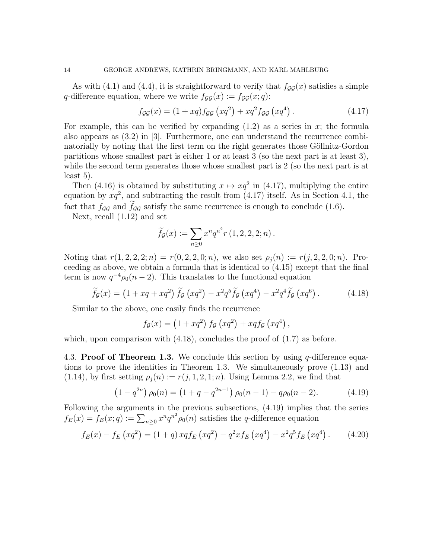As with (4.1) and (4.4), it is straightforward to verify that  $f_{GG}(x)$  satisfies a simple q-difference equation, where we write  $f_{\mathcal{G}\mathcal{G}}(x) := f_{\mathcal{G}\mathcal{G}}(x; q)$ :

$$
f_{\mathcal{G}\mathcal{G}}(x) = (1 + xq) f_{\mathcal{G}\mathcal{G}}(xq^2) + xq^2 f_{\mathcal{G}\mathcal{G}}(xq^4).
$$
 (4.17)

For example, this can be verified by expanding  $(1.2)$  as a series in x; the formula also appears as (3.2) in [3]. Furthermore, one can understand the recurrence combinatorially by noting that the first term on the right generates those Göllnitz-Gordon partitions whose smallest part is either 1 or at least 3 (so the next part is at least 3), while the second term generates those whose smallest part is 2 (so the next part is at least 5).

Then (4.16) is obtained by substituting  $x \mapsto xq^2$  in (4.17), multiplying the entire equation by  $xq^2$ , and subtracting the result from (4.17) itself. As in Section 4.1, the fact that  $f_{\mathcal{G}\mathcal{G}}$  and  $f_{\mathcal{G}\mathcal{G}}$  satisfy the same recurrence is enough to conclude (1.6).

Next, recall (1.12) and set

$$
\widetilde{f}_{\mathcal{G}}(x) := \sum_{n \geq 0} x^n q^{n^2} r(1, 2, 2, 2; n).
$$

Noting that  $r(1, 2, 2, 2; n) = r(0, 2, 2, 0; n)$ , we also set  $\rho_j(n) := r(j, 2, 2, 0; n)$ . Proceeding as above, we obtain a formula that is identical to (4.15) except that the final term is now  $q^{-4} \rho_0(n-2)$ . This translates to the functional equation

$$
\widetilde{f}_{\mathcal{G}}(x) = \left(1 + xq + xq^2\right) \widetilde{f}_{\mathcal{G}}\left(xq^2\right) - x^2 q^5 \widetilde{f}_{\mathcal{G}}\left(xq^4\right) - x^2 q^4 \widetilde{f}_{\mathcal{G}}\left(xq^6\right). \tag{4.18}
$$

Similar to the above, one easily finds the recurrence

$$
f_{\mathcal{G}}(x) = (1 + xq^2) f_{\mathcal{G}}(xq^2) + xq f_{\mathcal{G}}(xq^4),
$$

which, upon comparison with  $(4.18)$ , concludes the proof of  $(1.7)$  as before.

4.3. Proof of Theorem 1.3. We conclude this section by using  $q$ -difference equations to prove the identities in Theorem 1.3. We simultaneously prove (1.13) and (1.14), by first setting  $\rho_j(n) := r(j, 1, 2, 1; n)$ . Using Lemma 2.2, we find that

$$
(1 - q^{2n}) \rho_0(n) = (1 + q - q^{2n-1}) \rho_0(n-1) - q\rho_0(n-2).
$$
 (4.19)

Following the arguments in the previous subsections, (4.19) implies that the series  $f_E(x) = f_E(x; q) := \sum_{n \geq 0} x^n q^{n^2} \rho_0(n)$  satisfies the q-difference equation

$$
f_E(x) - f_E(xq^2) = (1+q) xq f_E(xq^2) - q^2 x f_E(xq^4) - x^2 q^5 f_E(xq^4).
$$
 (4.20)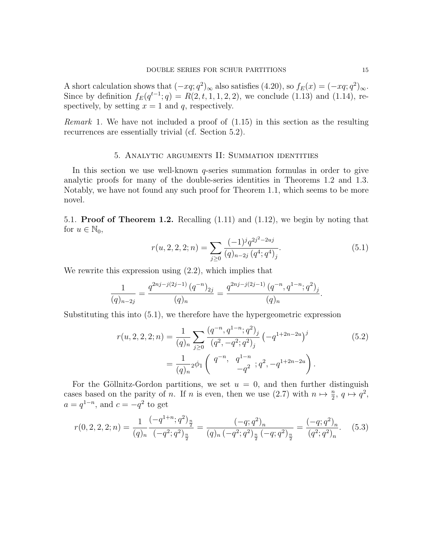A short calculation shows that  $(-xq;q^2)_{\infty}$  also satisfies  $(4.20)$ , so  $f_E(x) = (-xq;q^2)_{\infty}$ . Since by definition  $f_E(q^{t-1}; q) = R(2, t, 1, 1, 2, 2)$ , we conclude (1.13) and (1.14), respectively, by setting  $x = 1$  and q, respectively.

Remark 1. We have not included a proof of (1.15) in this section as the resulting recurrences are essentially trivial (cf. Section 5.2).

## 5. Analytic arguments II: Summation identities

In this section we use well-known  $q$ -series summation formulas in order to give analytic proofs for many of the double-series identities in Theorems 1.2 and 1.3. Notably, we have not found any such proof for Theorem 1.1, which seems to be more novel.

5.1. **Proof of Theorem 1.2.** Recalling  $(1.11)$  and  $(1.12)$ , we begin by noting that for  $u \in \mathbb{N}_0$ ,

$$
r(u, 2, 2, 2; n) = \sum_{j \ge 0} \frac{(-1)^j q^{2j^2 - 2uj}}{(q)_{n-2j} (q^4; q^4)_j}.
$$
 (5.1)

We rewrite this expression using  $(2.2)$ , which implies that

$$
\frac{1}{(q)_{n-2j}} = \frac{q^{2nj-j(2j-1)} (q^{-n})_{2j}}{(q)_n} = \frac{q^{2nj-j(2j-1)} (q^{-n}, q^{1-n}; q^2)_j}{(q)_n}.
$$

Substituting this into (5.1), we therefore have the hypergeometric expression

$$
r(u, 2, 2, 2; n) = \frac{1}{(q)_n} \sum_{j \ge 0} \frac{(q^{-n}, q^{1-n}; q^2)_j}{(q^2, -q^2; q^2)_j} \left( -q^{1+2n-2u} \right)^j
$$
  
= 
$$
\frac{1}{(q)_n} {}_2\phi_1 \left( \begin{array}{cc} q^{-n}, & q^{1-n} \\ & -q^2 \end{array}; q^2, -q^{1+2n-2u} \right).
$$
 (5.2)

For the Göllnitz-Gordon partitions, we set  $u = 0$ , and then further distinguish cases based on the parity of n. If n is even, then we use (2.7) with  $n \mapsto \frac{n}{2}$ ,  $q \mapsto q^2$ ,  $a = q^{1-n}$ , and  $c = -q^2$  to get

$$
r(0,2,2,2;n) = \frac{1}{(q)_n} \frac{(-q^{1+n};q^2)_{\frac{n}{2}}}{(-q^2;q^2)_{\frac{n}{2}}} = \frac{(-q;q^2)_n}{(q)_n \left(-q^2;q^2\right)_{\frac{n}{2}} \left(-q;q^2\right)_{\frac{n}{2}}} = \frac{(-q;q^2)_n}{(q^2;q^2)_n}.\tag{5.3}
$$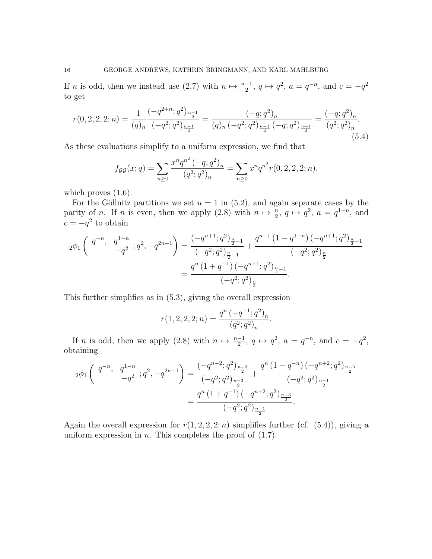If *n* is odd, then we instead use (2.7) with  $n \mapsto \frac{n-1}{2}$ ,  $q \mapsto q^2$ ,  $a = q^{-n}$ , and  $c = -q^2$ to get

$$
r(0,2,2,2;n) = \frac{1}{(q)_n} \frac{(-q^{2+n};q^2)_{\frac{n-1}{2}}}{(-q^2;q^2)_{\frac{n-1}{2}}} = \frac{(-q;q^2)_n}{(q)_n \left(-q^2;q^2\right)_{\frac{n-1}{2}}\left(-q;q^2\right)_{\frac{n+1}{2}}} = \frac{(-q;q^2)_n}{(q^2;q^2)_n}.
$$
\n
$$
(5.4)
$$

As these evaluations simplify to a uniform expression, we find that

$$
f_{\mathcal{G}\mathcal{G}}(x;q) = \sum_{n\geq 0} \frac{x^n q^{n^2} (-q;q^2)_n}{(q^2;q^2)_n} = \sum_{n\geq 0} x^n q^{n^2} r(0,2,2,2;n),
$$

which proves  $(1.6)$ .

For the Göllnitz partitions we set  $u = 1$  in (5.2), and again separate cases by the parity of *n*. If *n* is even, then we apply (2.8) with  $n \mapsto \frac{n}{2}$ ,  $q \mapsto q^2$ ,  $a = q^{1-n}$ , and  $c = -q^2$  to obtain

$$
{}_{2}\phi_{1}\left(\begin{array}{cc}q^{-n}, & q^{1-n} \\ & -q^{2} \end{array}; q^{2}, -q^{2n-1}\right) = \frac{(-q^{n+1}; q^{2})_{\frac{n}{2}-1}}{(-q^{2}; q^{2})_{\frac{n}{2}-1}} + \frac{q^{n-1}(1-q^{1-n})\left(-q^{n+1}; q^{2}\right)_{\frac{n}{2}-1}}{(-q^{2}; q^{2})_{\frac{n}{2}}} \\ = \frac{q^{n}\left(1+q^{-1}\right)\left(-q^{n+1}; q^{2}\right)_{\frac{n}{2}-1}}{\left(-q^{2}; q^{2}\right)_{\frac{n}{2}}}.
$$

This further simplifies as in (5.3), giving the overall expression

$$
r(1, 2, 2, 2; n) = \frac{q^n (-q^{-1}; q^2)_n}{(q^2; q^2)_n}.
$$

If *n* is odd, then we apply (2.8) with  $n \mapsto \frac{n-1}{2}$ ,  $q \mapsto q^2$ ,  $a = q^{-n}$ , and  $c = -q^2$ , obtaining

$$
{}_{2}\phi_{1}\left(\begin{array}{cc}q^{-n}, & q^{1-n} \\ & -q^{2} \end{array}; q^{2}, -q^{2n-1}\right) = \frac{(-q^{n+2}; q^{2})_{\frac{n-3}{2}}}{(-q^{2}; q^{2})_{\frac{n-3}{2}}} + \frac{q^{n}\left(1-q^{-n}\right)(-q^{n+2}; q^{2})_{\frac{n-3}{2}}}{(-q^{2}; q^{2})_{\frac{n-1}{2}}} \\
= \frac{q^{n}\left(1+q^{-1}\right)(-q^{n+2}; q^{2})_{\frac{n-3}{2}}}{(-q^{2}; q^{2})_{\frac{n-1}{2}}}.
$$

Again the overall expression for  $r(1, 2, 2, 2; n)$  simplifies further (cf. (5.4)), giving a uniform expression in  $n$ . This completes the proof of  $(1.7)$ .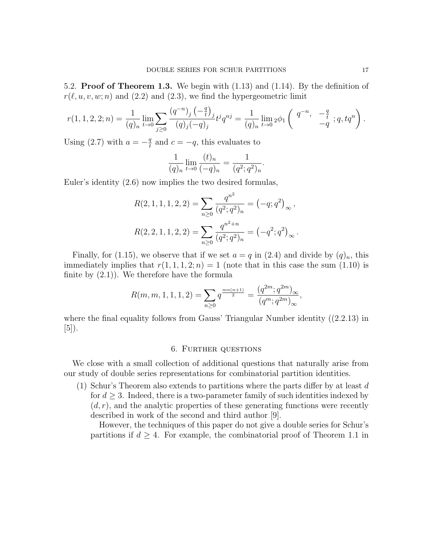5.2. Proof of Theorem 1.3. We begin with (1.13) and (1.14). By the definition of  $r(\ell, u, v, w; n)$  and (2.2) and (2.3), we find the hypergeometric limit

$$
r(1, 1, 2, 2; n) = \frac{1}{(q)_n} \lim_{t \to 0} \sum_{j \ge 0} \frac{(q^{-n})_j \left(-\frac{q}{t}\right)_j}{(q)_j (-q)_j} t^j q^{nj} = \frac{1}{(q)_n} \lim_{t \to 0} {}_2\phi_1 \left( \begin{array}{cc} q^{-n}, & -\frac{q}{t} \\ & -q \end{array}; q, tq^n \right).
$$

Using (2.7) with  $a = -\frac{q}{t}$  $\frac{q}{t}$  and  $c = -q$ , this evaluates to

$$
\frac{1}{(q)_n} \lim_{t \to 0} \frac{(t)_n}{(-q)_n} = \frac{1}{(q^2;q^2)_n}.
$$

Euler's identity (2.6) now implies the two desired formulas,

$$
R(2, 1, 1, 1, 2, 2) = \sum_{n\geq 0} \frac{q^{n^2}}{(q^2; q^2)_n} = (-q; q^2)_{\infty},
$$
  

$$
R(2, 2, 1, 1, 2, 2) = \sum_{n\geq 0} \frac{q^{n^2+n}}{(q^2; q^2)_n} = (-q^2; q^2)_{\infty}.
$$

Finally, for (1.15), we observe that if we set  $a = q$  in (2.4) and divide by  $(q)_n$ , this immediately implies that  $r(1, 1, 1, 2; n) = 1$  (note that in this case the sum (1.10) is finite by  $(2.1)$ . We therefore have the formula

$$
R(m, m, 1, 1, 1, 2) = \sum_{n \ge 0} q^{\frac{mn(n+1)}{2}} = \frac{(q^{2m}; q^{2m})_{\infty}}{(q^m; q^{2m})_{\infty}},
$$

where the final equality follows from Gauss' Triangular Number identity ((2.2.13) in  $|5|$ ).

## 6. Further questions

We close with a small collection of additional questions that naturally arise from our study of double series representations for combinatorial partition identities.

(1) Schur's Theorem also extends to partitions where the parts differ by at least  $d$ for  $d \geq 3$ . Indeed, there is a two-parameter family of such identities indexed by  $(d, r)$ , and the analytic properties of these generating functions were recently described in work of the second and third author [9].

However, the techniques of this paper do not give a double series for Schur's partitions if  $d \geq 4$ . For example, the combinatorial proof of Theorem 1.1 in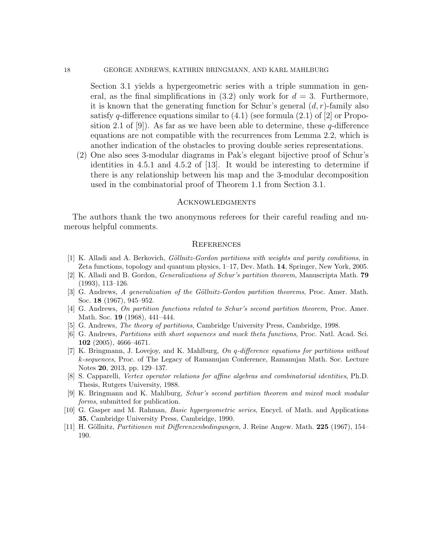Section 3.1 yields a hypergeometric series with a triple summation in general, as the final simplifications in  $(3.2)$  only work for  $d = 3$ . Furthermore, it is known that the generating function for Schur's general  $(d, r)$ -family also satisfy q-difference equations similar to  $(4.1)$  (see formula  $(2.1)$  of  $[2]$  or Proposition 2.1 of [9]). As far as we have been able to determine, these  $q$ -difference equations are not compatible with the recurrences from Lemma 2.2, which is another indication of the obstacles to proving double series representations.

(2) One also sees 3-modular diagrams in Pak's elegant bijective proof of Schur's identities in 4.5.1 and 4.5.2 of [13]. It would be interesting to determine if there is any relationship between his map and the 3-modular decomposition used in the combinatorial proof of Theorem 1.1 from Section 3.1.

#### Acknowledgments

The authors thank the two anonymous referees for their careful reading and numerous helpful comments.

#### **REFERENCES**

- $[1]$  K. Alladi and A. Berkovich, *Göllnitz-Gordon partitions with weights and parity conditions*, in Zeta functions, topology and quantum physics, 1–17, Dev. Math. 14, Springer, New York, 2005.
- [2] K. Alladi and B. Gordon, Generalizations of Schur's partition theorem, Manuscripta Math. 79 (1993), 113–126.
- [3] G. Andrews, A generalization of the Göllnitz-Gordon partition theorems, Proc. Amer. Math. Soc. 18 (1967), 945–952.
- [4] G. Andrews, On partition functions related to Schur's second partition theorem, Proc. Amer. Math. Soc. 19 (1968), 441–444.
- [5] G. Andrews, The theory of partitions, Cambridge University Press, Cambridge, 1998.
- [6] G. Andrews, Partitions with short sequences and mock theta functions, Proc. Natl. Acad. Sci. 102 (2005), 4666–4671.
- [7] K. Bringmann, J. Lovejoy, and K. Mahlburg, On q-difference equations for partitions without k-sequences, Proc. of The Legacy of Ramanujan Conference, Ramanujan Math. Soc. Lecture Notes 20, 2013, pp. 129–137.
- [8] S. Capparelli, Vertex operator relations for affine algebras and combinatorial identities, Ph.D. Thesis, Rutgers University, 1988.
- [9] K. Bringmann and K. Mahlburg, Schur's second partition theorem and mixed mock modular forms, submitted for publication.
- [10] G. Gasper and M. Rahman, *Basic hypergeometric series*, Encycl. of Math. and Applications 35, Cambridge University Press, Cambridge, 1990.
- [11] H. Göllnitz, Partitionen mit Differenzenbedingungen, J. Reine Angew. Math. 225 (1967), 154– 190.